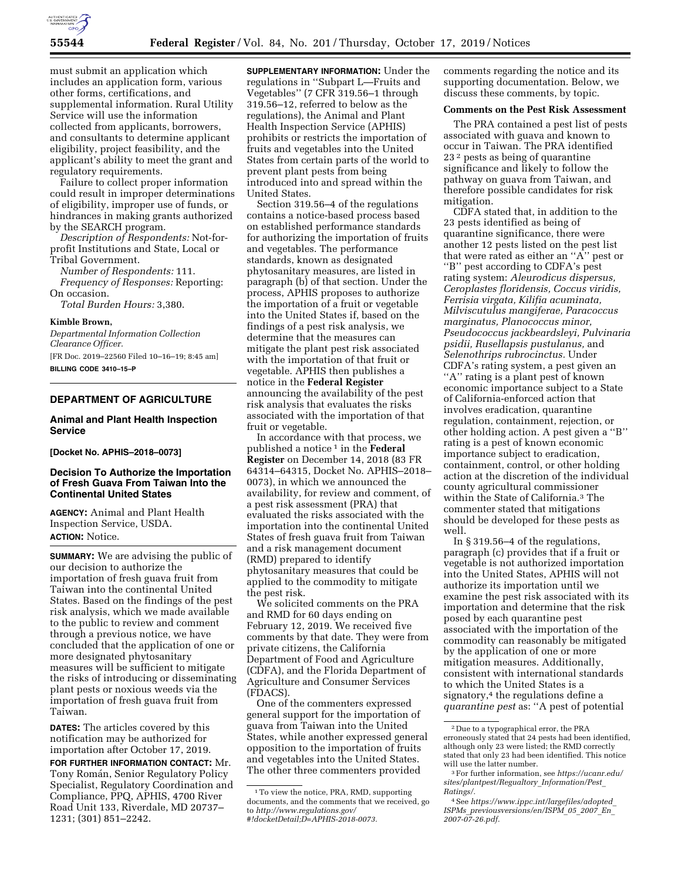

must submit an application which includes an application form, various other forms, certifications, and supplemental information. Rural Utility Service will use the information collected from applicants, borrowers, and consultants to determine applicant eligibility, project feasibility, and the applicant's ability to meet the grant and regulatory requirements.

Failure to collect proper information could result in improper determinations of eligibility, improper use of funds, or hindrances in making grants authorized by the SEARCH program.

*Description of Respondents:* Not-forprofit Institutions and State, Local or Tribal Government.

*Number of Respondents:* 111. *Frequency of Responses:* Reporting: On occasion.

*Total Burden Hours:* 3,380.

#### **Kimble Brown,**

*Departmental Information Collection Clearance Officer.*  [FR Doc. 2019–22560 Filed 10–16–19; 8:45 am] **BILLING CODE 3410–15–P** 

# **DEPARTMENT OF AGRICULTURE**

## **Animal and Plant Health Inspection Service**

#### **[Docket No. APHIS–2018–0073]**

## **Decision To Authorize the Importation of Fresh Guava From Taiwan Into the Continental United States**

**AGENCY:** Animal and Plant Health Inspection Service, USDA. **ACTION:** Notice.

**SUMMARY:** We are advising the public of our decision to authorize the importation of fresh guava fruit from Taiwan into the continental United States. Based on the findings of the pest risk analysis, which we made available to the public to review and comment through a previous notice, we have concluded that the application of one or more designated phytosanitary measures will be sufficient to mitigate the risks of introducing or disseminating plant pests or noxious weeds via the importation of fresh guava fruit from Taiwan.

**DATES:** The articles covered by this notification may be authorized for importation after October 17, 2019.

**FOR FURTHER INFORMATION CONTACT:** Mr. Tony Román, Senior Regulatory Policy Specialist, Regulatory Coordination and Compliance, PPQ, APHIS, 4700 River Road Unit 133, Riverdale, MD 20737– 1231; (301) 851–2242.

**SUPPLEMENTARY INFORMATION:** Under the regulations in ''Subpart L—Fruits and Vegetables'' (7 CFR 319.56–1 through 319.56–12, referred to below as the regulations), the Animal and Plant Health Inspection Service (APHIS) prohibits or restricts the importation of fruits and vegetables into the United States from certain parts of the world to prevent plant pests from being introduced into and spread within the United States.

Section 319.56–4 of the regulations contains a notice-based process based on established performance standards for authorizing the importation of fruits and vegetables. The performance standards, known as designated phytosanitary measures, are listed in paragraph (b) of that section. Under the process, APHIS proposes to authorize the importation of a fruit or vegetable into the United States if, based on the findings of a pest risk analysis, we determine that the measures can mitigate the plant pest risk associated with the importation of that fruit or vegetable. APHIS then publishes a notice in the **Federal Register**  announcing the availability of the pest risk analysis that evaluates the risks associated with the importation of that fruit or vegetable.

In accordance with that process, we published a notice 1 in the **Federal Register** on December 14, 2018 (83 FR 64314–64315, Docket No. APHIS–2018– 0073), in which we announced the availability, for review and comment, of a pest risk assessment (PRA) that evaluated the risks associated with the importation into the continental United States of fresh guava fruit from Taiwan and a risk management document (RMD) prepared to identify phytosanitary measures that could be applied to the commodity to mitigate the pest risk.

We solicited comments on the PRA and RMD for 60 days ending on February 12, 2019. We received five comments by that date. They were from private citizens, the California Department of Food and Agriculture (CDFA), and the Florida Department of Agriculture and Consumer Services (FDACS).

One of the commenters expressed general support for the importation of guava from Taiwan into the United States, while another expressed general opposition to the importation of fruits and vegetables into the United States. The other three commenters provided

comments regarding the notice and its supporting documentation. Below, we discuss these comments, by topic.

## **Comments on the Pest Risk Assessment**

The PRA contained a pest list of pests associated with guava and known to occur in Taiwan. The PRA identified 23 2 pests as being of quarantine significance and likely to follow the pathway on guava from Taiwan, and therefore possible candidates for risk mitigation.

CDFA stated that, in addition to the 23 pests identified as being of quarantine significance, there were another 12 pests listed on the pest list that were rated as either an ''A'' pest or ''B'' pest according to CDFA's pest rating system: *Aleurodicus dispersus, Ceroplastes floridensis, Coccus viridis, Ferrisia virgata, Kilifia acuminata, Milviscutulus mangiferae, Paracoccus marginatus, Planococcus minor, Pseudococcus jackbeardsleyi, Pulvinaria psidii, Rusellapsis pustulanus,* and *Selenothrips rubrocinctus.* Under CDFA's rating system, a pest given an ''A'' rating is a plant pest of known economic importance subject to a State of California-enforced action that involves eradication, quarantine regulation, containment, rejection, or other holding action. A pest given a ''B'' rating is a pest of known economic importance subject to eradication, containment, control, or other holding action at the discretion of the individual county agricultural commissioner within the State of California.3 The commenter stated that mitigations should be developed for these pests as well.

In § 319.56–4 of the regulations, paragraph (c) provides that if a fruit or vegetable is not authorized importation into the United States, APHIS will not authorize its importation until we examine the pest risk associated with its importation and determine that the risk posed by each quarantine pest associated with the importation of the commodity can reasonably be mitigated by the application of one or more mitigation measures. Additionally, consistent with international standards to which the United States is a signatory,<sup>4</sup> the regulations define a *quarantine pest* as: ''A pest of potential

<sup>1</sup>To view the notice, PRA, RMD, supporting documents, and the comments that we received, go to *[http://www.regulations.gov/](http://www.regulations.gov/#!docketDetail;D=APHIS-2018-0073) [#!docketDetail;D=APHIS-2018-0073.](http://www.regulations.gov/#!docketDetail;D=APHIS-2018-0073)* 

<sup>2</sup> Due to a typographical error, the PRA erroneously stated that 24 pests had been identified, although only 23 were listed; the RMD correctly stated that only 23 had been identified. This notice will use the latter number.

<sup>3</sup>For further information, see *[https://ucanr.edu/](https://ucanr.edu/sites/plantpest/Regualtory_Information/Pest_Ratings/) [sites/plantpest/Regualtory](https://ucanr.edu/sites/plantpest/Regualtory_Information/Pest_Ratings/)*\_*Information/Pest*\_ *[Ratings/.](https://ucanr.edu/sites/plantpest/Regualtory_Information/Pest_Ratings/)* 

<sup>4</sup>See *[https://www.ippc.int/largefiles/adopted](https://www.ippc.int/largefiles/adopted_ISPMs_previousversions/en/ISPM_05_2007_En_2007-07-26.pdf)*\_ *ISPMs*\_*[previousversions/en/ISPM](https://www.ippc.int/largefiles/adopted_ISPMs_previousversions/en/ISPM_05_2007_En_2007-07-26.pdf)*\_*05*\_*2007*\_*En*\_ *[2007-07-26.pdf.](https://www.ippc.int/largefiles/adopted_ISPMs_previousversions/en/ISPM_05_2007_En_2007-07-26.pdf)*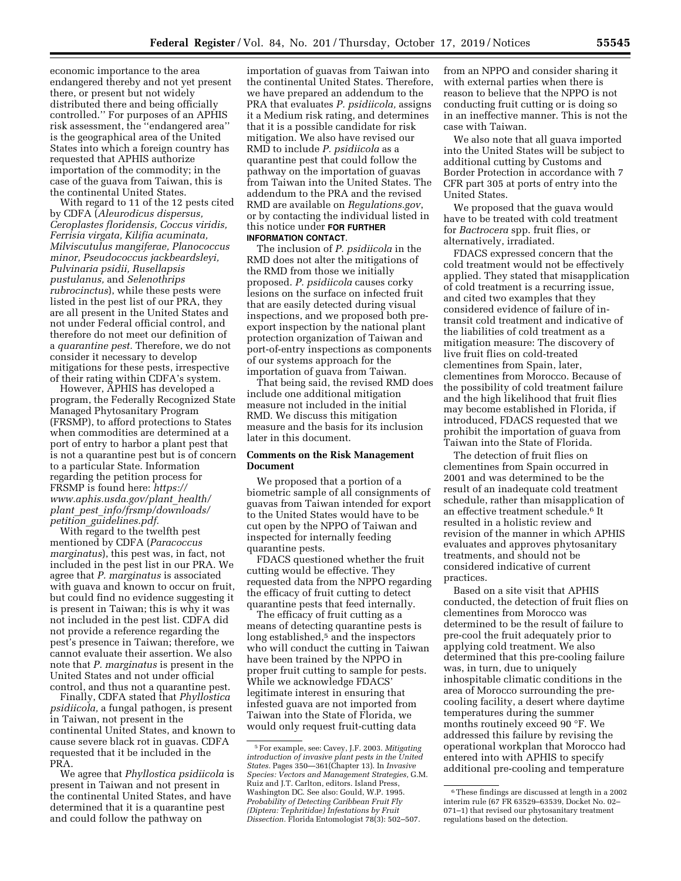economic importance to the area endangered thereby and not yet present there, or present but not widely distributed there and being officially controlled.'' For purposes of an APHIS risk assessment, the ''endangered area'' is the geographical area of the United States into which a foreign country has requested that APHIS authorize importation of the commodity; in the case of the guava from Taiwan, this is the continental United States.

With regard to 11 of the 12 pests cited by CDFA (*Aleurodicus dispersus, Ceroplastes floridensis, Coccus viridis, Ferrisia virgata, Kilifia acuminata, Milviscutulus mangiferae, Planococcus minor, Pseudococcus jackbeardsleyi, Pulvinaria psidii, Rusellapsis pustulanus,* and *Selenothrips rubrocinctus*), while these pests were listed in the pest list of our PRA, they are all present in the United States and not under Federal official control, and therefore do not meet our definition of a *quarantine pest.* Therefore, we do not consider it necessary to develop mitigations for these pests, irrespective of their rating within CDFA's system.

However, APHIS has developed a program, the Federally Recognized State Managed Phytosanitary Program (FRSMP), to afford protections to States when commodities are determined at a port of entry to harbor a plant pest that is not a quarantine pest but is of concern to a particular State. Information regarding the petition process for FRSMP is found here: *[https://](https://www.aphis.usda.gov/plant_health/plant_pest_info/frsmp/downloads/petition_guidelines.pdf) [www.aphis.usda.gov/plant](https://www.aphis.usda.gov/plant_health/plant_pest_info/frsmp/downloads/petition_guidelines.pdf)*\_*health/ plant*\_*pest*\_*[info/frsmp/downloads/](https://www.aphis.usda.gov/plant_health/plant_pest_info/frsmp/downloads/petition_guidelines.pdf)  petition*\_*[guidelines.pdf.](https://www.aphis.usda.gov/plant_health/plant_pest_info/frsmp/downloads/petition_guidelines.pdf)* 

With regard to the twelfth pest mentioned by CDFA (*Paracoccus marginatus*), this pest was, in fact, not included in the pest list in our PRA. We agree that *P. marginatus* is associated with guava and known to occur on fruit, but could find no evidence suggesting it is present in Taiwan; this is why it was not included in the pest list. CDFA did not provide a reference regarding the pest's presence in Taiwan; therefore, we cannot evaluate their assertion. We also note that *P. marginatus* is present in the United States and not under official control, and thus not a quarantine pest.

Finally, CDFA stated that *Phyllostica psidiicola,* a fungal pathogen, is present in Taiwan, not present in the continental United States, and known to cause severe black rot in guavas. CDFA requested that it be included in the PRA.

We agree that *Phyllostica psidiicola* is present in Taiwan and not present in the continental United States, and have determined that it is a quarantine pest and could follow the pathway on

importation of guavas from Taiwan into the continental United States. Therefore, we have prepared an addendum to the PRA that evaluates *P. psidiicola,* assigns it a Medium risk rating, and determines that it is a possible candidate for risk mitigation. We also have revised our RMD to include *P. psidiicola* as a quarantine pest that could follow the pathway on the importation of guavas from Taiwan into the United States. The addendum to the PRA and the revised RMD are available on *Regulations.gov*, or by contacting the individual listed in this notice under **FOR FURTHER INFORMATION CONTACT**.

The inclusion of *P. psidiicola* in the RMD does not alter the mitigations of the RMD from those we initially proposed. *P. psidiicola* causes corky lesions on the surface on infected fruit that are easily detected during visual inspections, and we proposed both preexport inspection by the national plant protection organization of Taiwan and port-of-entry inspections as components of our systems approach for the importation of guava from Taiwan.

That being said, the revised RMD does include one additional mitigation measure not included in the initial RMD. We discuss this mitigation measure and the basis for its inclusion later in this document.

## **Comments on the Risk Management Document**

We proposed that a portion of a biometric sample of all consignments of guavas from Taiwan intended for export to the United States would have to be cut open by the NPPO of Taiwan and inspected for internally feeding quarantine pests.

FDACS questioned whether the fruit cutting would be effective. They requested data from the NPPO regarding the efficacy of fruit cutting to detect quarantine pests that feed internally.

The efficacy of fruit cutting as a means of detecting quarantine pests is long established,<sup>5</sup> and the inspectors who will conduct the cutting in Taiwan have been trained by the NPPO in proper fruit cutting to sample for pests. While we acknowledge FDACS' legitimate interest in ensuring that infested guava are not imported from Taiwan into the State of Florida, we would only request fruit-cutting data

from an NPPO and consider sharing it with external parties when there is reason to believe that the NPPO is not conducting fruit cutting or is doing so in an ineffective manner. This is not the case with Taiwan.

We also note that all guava imported into the United States will be subject to additional cutting by Customs and Border Protection in accordance with 7 CFR part 305 at ports of entry into the United States.

We proposed that the guava would have to be treated with cold treatment for *Bactrocera* spp. fruit flies, or alternatively, irradiated.

FDACS expressed concern that the cold treatment would not be effectively applied. They stated that misapplication of cold treatment is a recurring issue, and cited two examples that they considered evidence of failure of intransit cold treatment and indicative of the liabilities of cold treatment as a mitigation measure: The discovery of live fruit flies on cold-treated clementines from Spain, later, clementines from Morocco. Because of the possibility of cold treatment failure and the high likelihood that fruit flies may become established in Florida, if introduced, FDACS requested that we prohibit the importation of guava from Taiwan into the State of Florida.

The detection of fruit flies on clementines from Spain occurred in 2001 and was determined to be the result of an inadequate cold treatment schedule, rather than misapplication of an effective treatment schedule.6 It resulted in a holistic review and revision of the manner in which APHIS evaluates and approves phytosanitary treatments, and should not be considered indicative of current practices.

Based on a site visit that APHIS conducted, the detection of fruit flies on clementines from Morocco was determined to be the result of failure to pre-cool the fruit adequately prior to applying cold treatment. We also determined that this pre-cooling failure was, in turn, due to uniquely inhospitable climatic conditions in the area of Morocco surrounding the precooling facility, a desert where daytime temperatures during the summer months routinely exceed 90 °F. We addressed this failure by revising the operational workplan that Morocco had entered into with APHIS to specify additional pre-cooling and temperature

<sup>5</sup>For example, see: Cavey, J.F. 2003. *Mitigating introduction of invasive plant pests in the United States.* Pages 350—361(Chapter 13). In *Invasive Species: Vectors and Management Strategies,* G.M. Ruiz and J.T. Carlton, editors. Island Press, Washington DC. See also: Gould, W.P. 1995. *Probability of Detecting Caribbean Fruit Fly (Diptera: Tephritidae) Infestations by Fruit Dissection.* Florida Entomologist 78(3): 502–507.

<sup>6</sup>These findings are discussed at length in a 2002 interim rule (67 FR 63529–63539, Docket No. 02– 071–1) that revised our phytosanitary treatment regulations based on the detection.